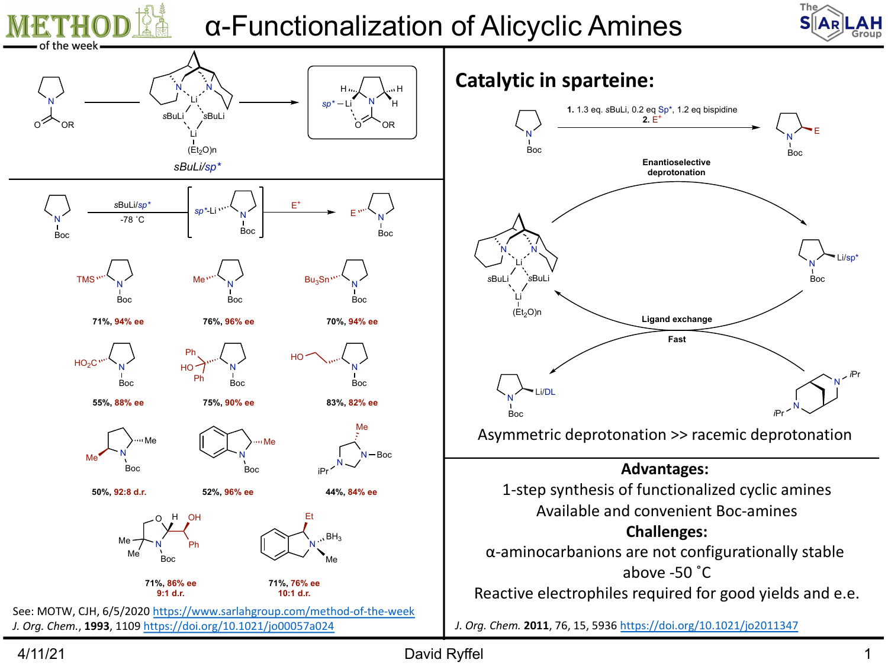

4/11/21 David Ryffel 1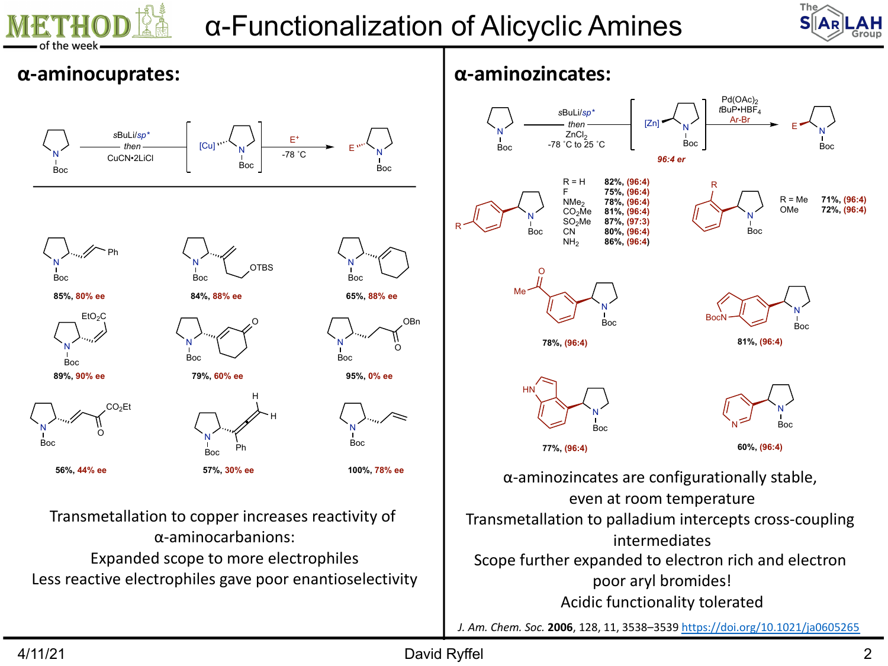

# α-Functionalization of Alicyclic Amines